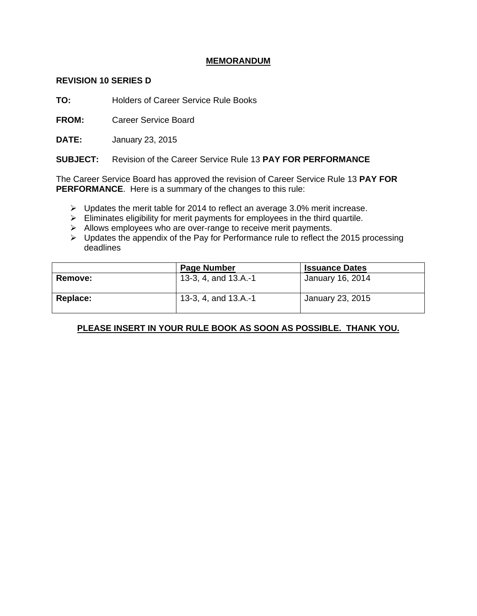### **MEMORANDUM**

#### **REVISION 10 SERIES D**

**TO:** Holders of Career Service Rule Books

**FROM:** Career Service Board

**DATE:** January 23, 2015

**SUBJECT:** Revision of the Career Service Rule 13 **PAY FOR PERFORMANCE** 

The Career Service Board has approved the revision of Career Service Rule 13 **PAY FOR PERFORMANCE**. Here is a summary of the changes to this rule:

- $\triangleright$  Updates the merit table for 2014 to reflect an average 3.0% merit increase.
- $\triangleright$  Eliminates eligibility for merit payments for employees in the third quartile.
- $\triangleright$  Allows employees who are over-range to receive merit payments.
- $\triangleright$  Updates the appendix of the Pay for Performance rule to reflect the 2015 processing deadlines

|                 | Page Number          | <b>Issuance Dates</b> |  |  |
|-----------------|----------------------|-----------------------|--|--|
| Remove:         | 13-3, 4, and 13.A.-1 | January 16, 2014      |  |  |
| <b>Replace:</b> | 13-3, 4, and 13.A.-1 | January 23, 2015      |  |  |

## **PLEASE INSERT IN YOUR RULE BOOK AS SOON AS POSSIBLE. THANK YOU.**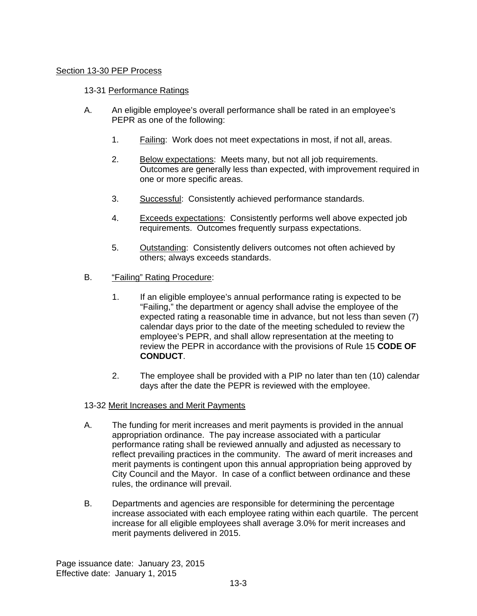### Section 13-30 PEP Process

#### 13-31 Performance Ratings

- A. An eligible employee's overall performance shall be rated in an employee's PEPR as one of the following:
	- 1. Failing: Work does not meet expectations in most, if not all, areas.
	- 2. Below expectations: Meets many, but not all job requirements. Outcomes are generally less than expected, with improvement required in one or more specific areas.
	- 3. Successful: Consistently achieved performance standards.
	- 4. Exceeds expectations: Consistently performs well above expected job requirements. Outcomes frequently surpass expectations.
	- 5. Outstanding: Consistently delivers outcomes not often achieved by others; always exceeds standards.
- B. "Failing" Rating Procedure:
	- 1. If an eligible employee's annual performance rating is expected to be "Failing," the department or agency shall advise the employee of the expected rating a reasonable time in advance, but not less than seven (7) calendar days prior to the date of the meeting scheduled to review the employee's PEPR, and shall allow representation at the meeting to review the PEPR in accordance with the provisions of Rule 15 **CODE OF CONDUCT**.
	- 2. The employee shall be provided with a PIP no later than ten (10) calendar days after the date the PEPR is reviewed with the employee.

#### 13-32 Merit Increases and Merit Payments

- A. The funding for merit increases and merit payments is provided in the annual appropriation ordinance. The pay increase associated with a particular performance rating shall be reviewed annually and adjusted as necessary to reflect prevailing practices in the community. The award of merit increases and merit payments is contingent upon this annual appropriation being approved by City Council and the Mayor. In case of a conflict between ordinance and these rules, the ordinance will prevail.
- B. Departments and agencies are responsible for determining the percentage increase associated with each employee rating within each quartile. The percent increase for all eligible employees shall average 3.0% for merit increases and merit payments delivered in 2015.

Page issuance date: January 23, 2015 Effective date: January 1, 2015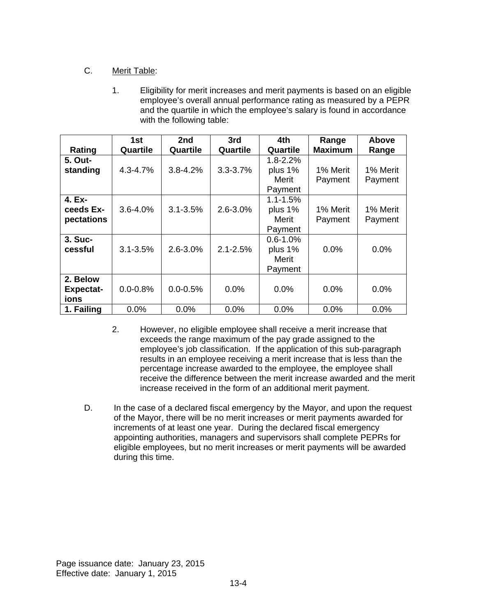# C. Merit Table:

1. Eligibility for merit increases and merit payments is based on an eligible employee's overall annual performance rating as measured by a PEPR and the quartile in which the employee's salary is found in accordance with the following table:

|                  | 1st          | 2nd          | 3rd          | 4th          | Range          | <b>Above</b> |
|------------------|--------------|--------------|--------------|--------------|----------------|--------------|
| Rating           | Quartile     | Quartile     | Quartile     | Quartile     | <b>Maximum</b> | Range        |
| 5. Out-          |              |              |              | $1.8 - 2.2%$ |                |              |
| standing         | $4.3 - 4.7%$ | $3.8 - 4.2%$ | $3.3 - 3.7%$ | plus 1%      | 1% Merit       | 1% Merit     |
|                  |              |              |              | Merit        | Payment        | Payment      |
|                  |              |              |              | Payment      |                |              |
| 4. Ex-           |              |              |              | $1.1 - 1.5%$ |                |              |
| ceeds Ex-        | $3.6 - 4.0%$ | $3.1 - 3.5%$ | $2.6 - 3.0%$ | plus 1%      | 1% Merit       | 1% Merit     |
| pectations       |              |              |              | Merit        | Payment        | Payment      |
|                  |              |              |              | Payment      |                |              |
| 3. Suc-          |              |              |              | $0.6 - 1.0%$ |                |              |
| cessful          | $3.1 - 3.5%$ | $2.6 - 3.0%$ | $2.1 - 2.5%$ | plus 1%      | $0.0\%$        | 0.0%         |
|                  |              |              |              | Merit        |                |              |
|                  |              |              |              | Payment      |                |              |
| 2. Below         |              |              |              |              |                |              |
| <b>Expectat-</b> | $0.0 - 0.8%$ | $0.0 - 0.5%$ | $0.0\%$      | 0.0%         | 0.0%           | 0.0%         |
| ions             |              |              |              |              |                |              |
| 1. Failing       | 0.0%         | 0.0%         | 0.0%         | 0.0%         | 0.0%           | 0.0%         |

- 2. However, no eligible employee shall receive a merit increase that exceeds the range maximum of the pay grade assigned to the employee's job classification. If the application of this sub-paragraph results in an employee receiving a merit increase that is less than the percentage increase awarded to the employee, the employee shall receive the difference between the merit increase awarded and the merit increase received in the form of an additional merit payment.
- D. In the case of a declared fiscal emergency by the Mayor, and upon the request of the Mayor, there will be no merit increases or merit payments awarded for increments of at least one year. During the declared fiscal emergency appointing authorities, managers and supervisors shall complete PEPRs for eligible employees, but no merit increases or merit payments will be awarded during this time.